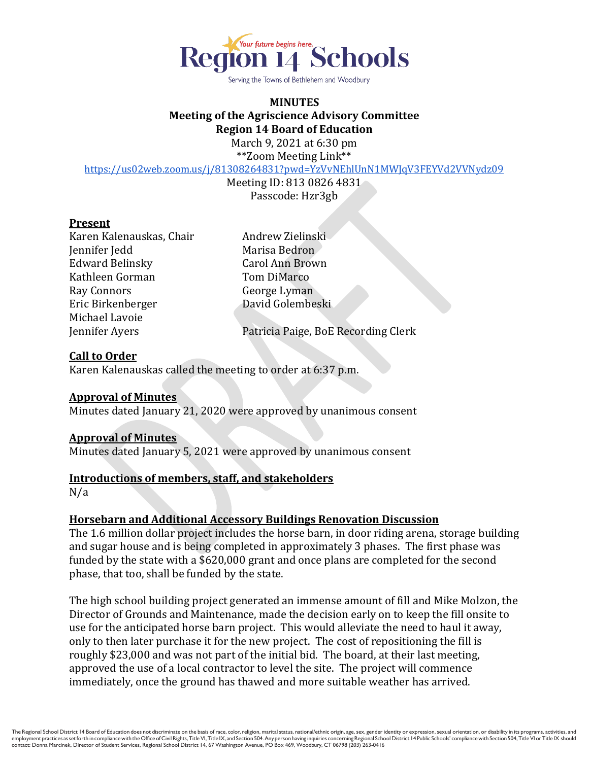

Serving the Towns of Bethlehem and Woodbury

# **MINUTES Meeting of the Agriscience Advisory Committee Region 14 Board of Education**

March 9, 2021 at 6:30 pm \*\*Zoom Meeting Link\*\*

<https://us02web.zoom.us/j/81308264831?pwd=YzVvNEhlUnN1MWJqV3FEYVd2VVNydz09>

Meeting ID: 813 0826 4831 Passcode: Hzr3gb

#### **Present**

Karen Kalenauskas, Chair **Andrew Zielinski** Jennifer Jedd Marisa Bedron Edward Belinsky Carol Ann Brown Kathleen Gorman Tom DiMarco Ray Connors George Lyman Eric Birkenberger David Golembeski Michael Lavoie

Jennifer Ayers Patricia Paige, BoE Recording Clerk

### **Call to Order**

Karen Kalenauskas called the meeting to order at 6:37 p.m.

### **Approval of Minutes**

Minutes dated January 21, 2020 were approved by unanimous consent

### **Approval of Minutes**

Minutes dated January 5, 2021 were approved by unanimous consent

### **Introductions of members, staff, and stakeholders**

N/a

### **Horsebarn and Additional Accessory Buildings Renovation Discussion**

The 1.6 million dollar project includes the horse barn, in door riding arena, storage building and sugar house and is being completed in approximately 3 phases. The first phase was funded by the state with a \$620,000 grant and once plans are completed for the second phase, that too, shall be funded by the state.

The high school building project generated an immense amount of fill and Mike Molzon, the Director of Grounds and Maintenance, made the decision early on to keep the fill onsite to use for the anticipated horse barn project. This would alleviate the need to haul it away, only to then later purchase it for the new project. The cost of repositioning the fill is roughly \$23,000 and was not part of the initial bid. The board, at their last meeting, approved the use of a local contractor to level the site. The project will commence immediately, once the ground has thawed and more suitable weather has arrived.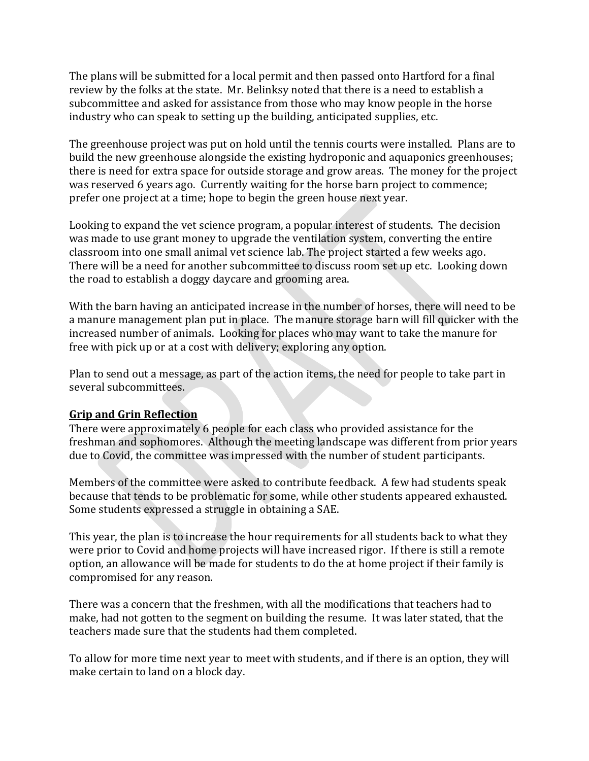The plans will be submitted for a local permit and then passed onto Hartford for a final review by the folks at the state. Mr. Belinksy noted that there is a need to establish a subcommittee and asked for assistance from those who may know people in the horse industry who can speak to setting up the building, anticipated supplies, etc.

The greenhouse project was put on hold until the tennis courts were installed. Plans are to build the new greenhouse alongside the existing hydroponic and aquaponics greenhouses; there is need for extra space for outside storage and grow areas. The money for the project was reserved 6 years ago. Currently waiting for the horse barn project to commence; prefer one project at a time; hope to begin the green house next year.

Looking to expand the vet science program, a popular interest of students. The decision was made to use grant money to upgrade the ventilation system, converting the entire classroom into one small animal vet science lab. The project started a few weeks ago. There will be a need for another subcommittee to discuss room set up etc. Looking down the road to establish a doggy daycare and grooming area.

With the barn having an anticipated increase in the number of horses, there will need to be a manure management plan put in place. The manure storage barn will fill quicker with the increased number of animals. Looking for places who may want to take the manure for free with pick up or at a cost with delivery; exploring any option.

Plan to send out a message, as part of the action items, the need for people to take part in several subcommittees.

## **Grip and Grin Reflection**

There were approximately 6 people for each class who provided assistance for the freshman and sophomores. Although the meeting landscape was different from prior years due to Covid, the committee was impressed with the number of student participants.

Members of the committee were asked to contribute feedback. A few had students speak because that tends to be problematic for some, while other students appeared exhausted. Some students expressed a struggle in obtaining a SAE.

This year, the plan is to increase the hour requirements for all students back to what they were prior to Covid and home projects will have increased rigor. If there is still a remote option, an allowance will be made for students to do the at home project if their family is compromised for any reason.

There was a concern that the freshmen, with all the modifications that teachers had to make, had not gotten to the segment on building the resume. It was later stated, that the teachers made sure that the students had them completed.

To allow for more time next year to meet with students, and if there is an option, they will make certain to land on a block day.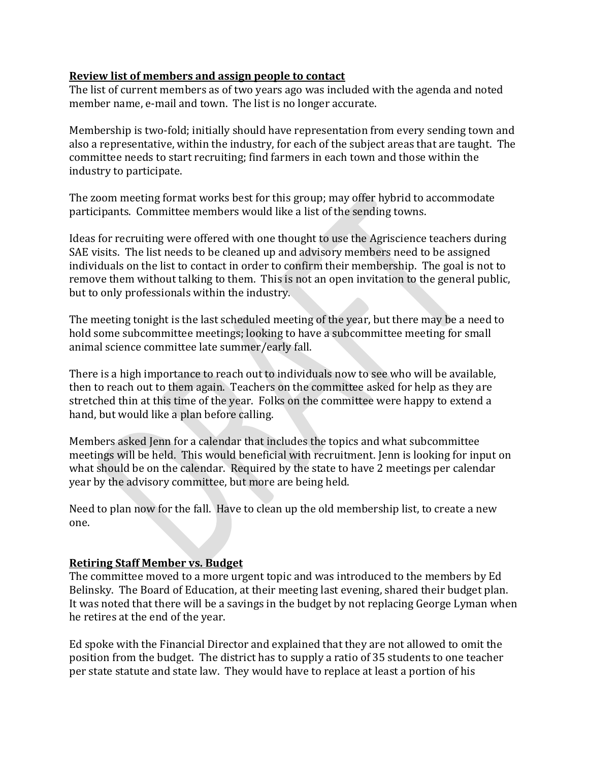### **Review list of members and assign people to contact**

The list of current members as of two years ago was included with the agenda and noted member name, e-mail and town. The list is no longer accurate.

Membership is two-fold; initially should have representation from every sending town and also a representative, within the industry, for each of the subject areas that are taught. The committee needs to start recruiting; find farmers in each town and those within the industry to participate.

The zoom meeting format works best for this group; may offer hybrid to accommodate participants. Committee members would like a list of the sending towns.

Ideas for recruiting were offered with one thought to use the Agriscience teachers during SAE visits. The list needs to be cleaned up and advisory members need to be assigned individuals on the list to contact in order to confirm their membership. The goal is not to remove them without talking to them. This is not an open invitation to the general public, but to only professionals within the industry.

The meeting tonight is the last scheduled meeting of the year, but there may be a need to hold some subcommittee meetings; looking to have a subcommittee meeting for small animal science committee late summer/early fall.

There is a high importance to reach out to individuals now to see who will be available, then to reach out to them again. Teachers on the committee asked for help as they are stretched thin at this time of the year. Folks on the committee were happy to extend a hand, but would like a plan before calling.

Members asked Jenn for a calendar that includes the topics and what subcommittee meetings will be held. This would beneficial with recruitment. Jenn is looking for input on what should be on the calendar. Required by the state to have 2 meetings per calendar year by the advisory committee, but more are being held.

Need to plan now for the fall. Have to clean up the old membership list, to create a new one.

### **Retiring Staff Member vs. Budget**

The committee moved to a more urgent topic and was introduced to the members by Ed Belinsky. The Board of Education, at their meeting last evening, shared their budget plan. It was noted that there will be a savings in the budget by not replacing George Lyman when he retires at the end of the year.

Ed spoke with the Financial Director and explained that they are not allowed to omit the position from the budget. The district has to supply a ratio of 35 students to one teacher per state statute and state law. They would have to replace at least a portion of his